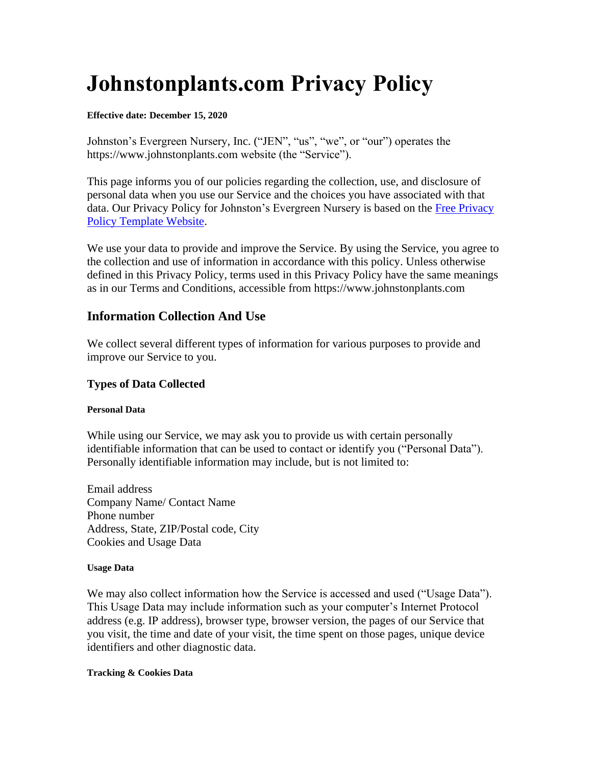# **Johnstonplants.com Privacy Policy**

#### **Effective date: December 15, 2020**

Johnston's Evergreen Nursery, Inc. ("JEN", "us", "we", or "our") operates the https://www.johnstonplants.com website (the "Service").

This page informs you of our policies regarding the collection, use, and disclosure of personal data when you use our Service and the choices you have associated with that data. Our Privacy Policy for Johnston's Evergreen Nursery is based on the Free Privacy [Policy Template Website.](https://www.freeprivacypolicy.com/blog/sample-privacy-policy-template)

We use your data to provide and improve the Service. By using the Service, you agree to the collection and use of information in accordance with this policy. Unless otherwise defined in this Privacy Policy, terms used in this Privacy Policy have the same meanings as in our Terms and Conditions, accessible from https://www.johnstonplants.com

## **Information Collection And Use**

We collect several different types of information for various purposes to provide and improve our Service to you.

## **Types of Data Collected**

#### **Personal Data**

While using our Service, we may ask you to provide us with certain personally identifiable information that can be used to contact or identify you ("Personal Data"). Personally identifiable information may include, but is not limited to:

Email address Company Name/ Contact Name Phone number Address, State, ZIP/Postal code, City Cookies and Usage Data

#### **Usage Data**

We may also collect information how the Service is accessed and used ("Usage Data"). This Usage Data may include information such as your computer's Internet Protocol address (e.g. IP address), browser type, browser version, the pages of our Service that you visit, the time and date of your visit, the time spent on those pages, unique device identifiers and other diagnostic data.

#### **Tracking & Cookies Data**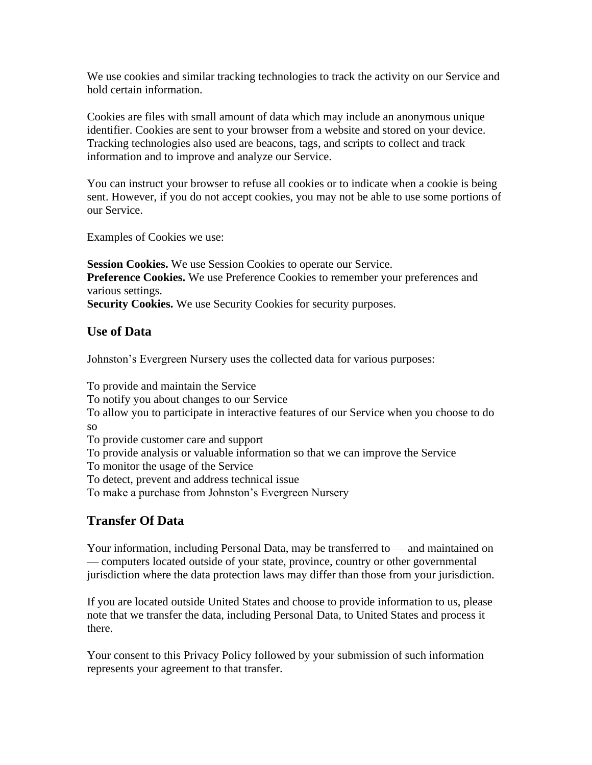We use cookies and similar tracking technologies to track the activity on our Service and hold certain information.

Cookies are files with small amount of data which may include an anonymous unique identifier. Cookies are sent to your browser from a website and stored on your device. Tracking technologies also used are beacons, tags, and scripts to collect and track information and to improve and analyze our Service.

You can instruct your browser to refuse all cookies or to indicate when a cookie is being sent. However, if you do not accept cookies, you may not be able to use some portions of our Service.

Examples of Cookies we use:

**Session Cookies.** We use Session Cookies to operate our Service. **Preference Cookies.** We use Preference Cookies to remember your preferences and various settings. Security Cookies. We use Security Cookies for security purposes.

## **Use of Data**

Johnston's Evergreen Nursery uses the collected data for various purposes:

To provide and maintain the Service To notify you about changes to our Service To allow you to participate in interactive features of our Service when you choose to do so To provide customer care and support To provide analysis or valuable information so that we can improve the Service To monitor the usage of the Service To detect, prevent and address technical issue To make a purchase from Johnston's Evergreen Nursery

# **Transfer Of Data**

Your information, including Personal Data, may be transferred to — and maintained on — computers located outside of your state, province, country or other governmental jurisdiction where the data protection laws may differ than those from your jurisdiction.

If you are located outside United States and choose to provide information to us, please note that we transfer the data, including Personal Data, to United States and process it there.

Your consent to this Privacy Policy followed by your submission of such information represents your agreement to that transfer.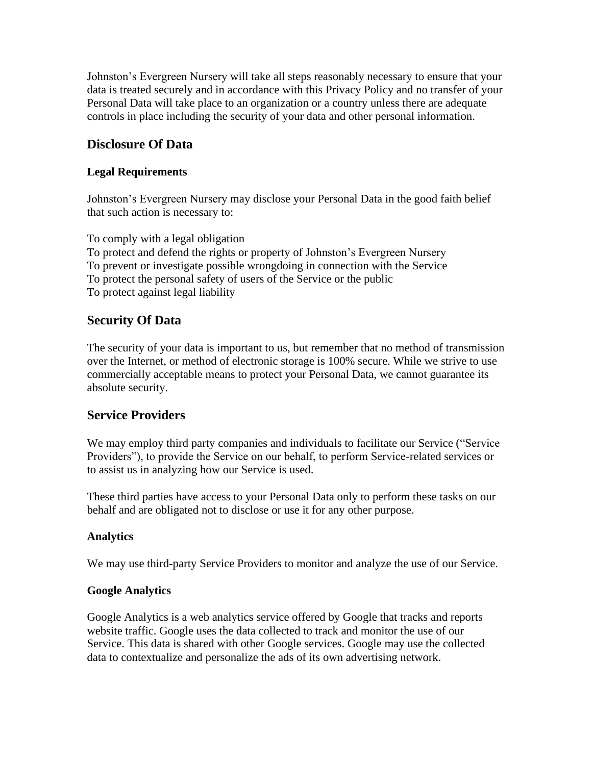Johnston's Evergreen Nursery will take all steps reasonably necessary to ensure that your data is treated securely and in accordance with this Privacy Policy and no transfer of your Personal Data will take place to an organization or a country unless there are adequate controls in place including the security of your data and other personal information.

## **Disclosure Of Data**

## **Legal Requirements**

Johnston's Evergreen Nursery may disclose your Personal Data in the good faith belief that such action is necessary to:

To comply with a legal obligation To protect and defend the rights or property of Johnston's Evergreen Nursery To prevent or investigate possible wrongdoing in connection with the Service To protect the personal safety of users of the Service or the public To protect against legal liability

## **Security Of Data**

The security of your data is important to us, but remember that no method of transmission over the Internet, or method of electronic storage is 100% secure. While we strive to use commercially acceptable means to protect your Personal Data, we cannot guarantee its absolute security.

## **Service Providers**

We may employ third party companies and individuals to facilitate our Service ("Service Providers"), to provide the Service on our behalf, to perform Service-related services or to assist us in analyzing how our Service is used.

These third parties have access to your Personal Data only to perform these tasks on our behalf and are obligated not to disclose or use it for any other purpose.

## **Analytics**

We may use third-party Service Providers to monitor and analyze the use of our Service.

## **Google Analytics**

Google Analytics is a web analytics service offered by Google that tracks and reports website traffic. Google uses the data collected to track and monitor the use of our Service. This data is shared with other Google services. Google may use the collected data to contextualize and personalize the ads of its own advertising network.